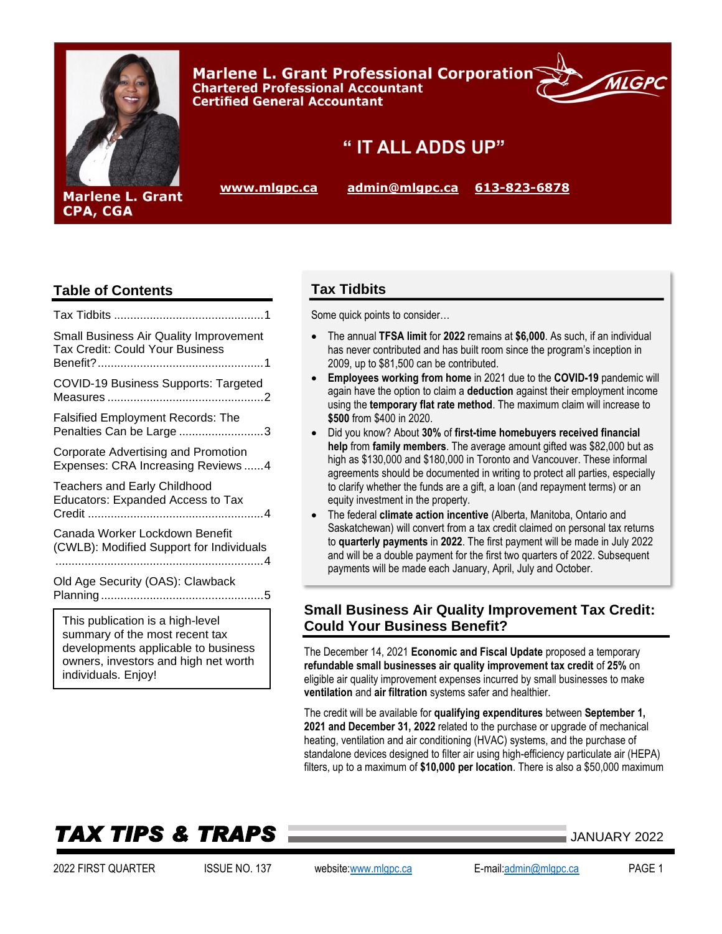

**Marlene L. Grant Professional Corporation Chartered Professional Accountant Certified General Accountant** 



# " IT ALL ADDS UP"

**[www.mlgpc.ca](http://www.mlgpc.ca/) [admin@mlgpc.ca](mailto:admin@mlgpc.ca) [613-823-6878](tel:6138236878)**

### **Table of Contents**

CPA, CGA

| Small Business Air Quality Improvement<br><b>Tax Credit: Could Your Business</b>                                                                                                                                               |
|--------------------------------------------------------------------------------------------------------------------------------------------------------------------------------------------------------------------------------|
| <b>COVID-19 Business Supports: Targeted</b>                                                                                                                                                                                    |
| <b>Falsified Employment Records: The</b><br>Penalties Can be Large 3                                                                                                                                                           |
| Corporate Advertising and Promotion<br>Expenses: CRA Increasing Reviews  4                                                                                                                                                     |
| <b>Teachers and Early Childhood</b><br>Educators: Expanded Access to Tax                                                                                                                                                       |
| Canada Worker Lockdown Benefit<br>(CWLB): Modified Support for Individuals                                                                                                                                                     |
| Old Age Security (OAS): Clawback                                                                                                                                                                                               |
| where the contract of the contract of the contract of the contract of the contract of the contract of the contract of the contract of the contract of the contract of the contract of the contract of the contract of the cont |

This publication is a high-level summary of the most recent tax developments applicable to business owners, investors and high net worth individuals. Enjoy!

### **Tax Tidbits**

Some quick points to consider…

- The annual **TFSA limit** for **2022** remains at **\$6,000**. As such, if an individual has never contributed and has built room since the program's inception in 2009, up to \$81,500 can be contributed.
- **Employees working from home** in 2021 due to the **COVID-19** pandemic will again have the option to claim a **deduction** against their employment income using the **temporary flat rate method**. The maximum claim will increase to **\$500** from \$400 in 2020.
- Did you know? About **30%** of **first-time homebuyers received financial help** from **family members**. The average amount gifted was \$82,000 but as high as \$130,000 and \$180,000 in Toronto and Vancouver. These informal agreements should be documented in writing to protect all parties, especially to clarify whether the funds are a gift, a loan (and repayment terms) or an equity investment in the property.
- The federal **climate action incentive** (Alberta, Manitoba, Ontario and Saskatchewan) will convert from a tax credit claimed on personal tax returns to **quarterly payments** in **2022**. The first payment will be made in July 2022 and will be a double payment for the first two quarters of 2022. Subsequent payments will be made each January, April, July and October.

## <span id="page-0-0"></span>**Small Business Air Quality Improvement Tax Credit: Could Your Business Benefit?**

The December 14, 2021 **Economic and Fiscal Update** proposed a temporary **refundable small businesses air quality improvement tax credit** of **25%** on eligible air quality improvement expenses incurred by small businesses to make **ventilation** and **air filtration** systems safer and healthier.

The credit will be available for **qualifying expenditures** between **September 1, 2021 and December 31, 2022** related to the purchase or upgrade of mechanical heating, ventilation and air conditioning (HVAC) systems, and the purchase of standalone devices designed to filter air using high-efficiency particulate air (HEPA) filters, up to a maximum of **\$10,000 per location**. There is also a \$50,000 maximum

# *TAX TIPS & TRAPS* JANUARY <sup>2022</sup>

2022 FIRST QUARTER ISSUE NO. 137 website[:www.mlgpc.ca](http://www.mlgpc.ca/) E-mail[:admin@mlgpc.ca](mailto:admin@mlgpc.ca) PAGE 1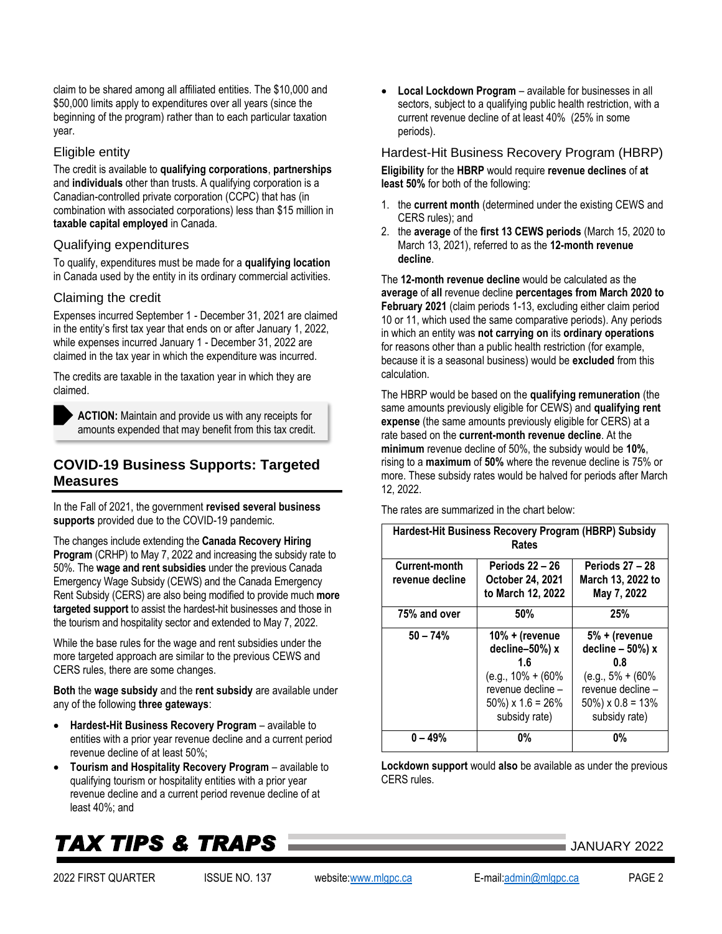2022 FIRST QUARTER ISSUE NO. 137 website[:www.mlgpc.ca](http://www.mlgpc.ca/) E-mail[:admin@mlgpc.ca](mailto:admin@mlgpc.ca) PAGE 2

claim to be shared among all affiliated entities. The \$10,000 and \$50,000 limits apply to expenditures over all years (since the beginning of the program) rather than to each particular taxation year.

#### Eligible entity

The credit is available to **qualifying corporations**, **partnerships** and **individuals** other than trusts. A qualifying corporation is a Canadian-controlled private corporation (CCPC) that has (in combination with associated corporations) less than \$15 million in **taxable capital employed** in Canada.

#### Qualifying expenditures

To qualify, expenditures must be made for a **qualifying location** in Canada used by the entity in its ordinary commercial activities.

### Claiming the credit

Expenses incurred September 1 - December 31, 2021 are claimed in the entity's first tax year that ends on or after January 1, 2022, while expenses incurred January 1 - December 31, 2022 are claimed in the tax year in which the expenditure was incurred.

The credits are taxable in the taxation year in which they are claimed.

**ACTION:** Maintain and provide us with any receipts for amounts expended that may benefit from this tax credit.

# **COVID-19 Business Supports: Targeted**

In the Fall of 2021, the government **revised several business supports** provided due to the COVID-19 pandemic.

The changes include extending the **Canada Recovery Hiring Program** (CRHP) to May 7, 2022 and increasing the subsidy rate to 50%. The **wage and rent subsidies** under the previous Canada Emergency Wage Subsidy (CEWS) and the Canada Emergency Rent Subsidy (CERS) are also being modified to provide much **more targeted support** to assist the hardest-hit businesses and those in the tourism and hospitality sector and extended to May 7, 2022.

While the base rules for the wage and rent subsidies under the more targeted approach are similar to the previous CEWS and CERS rules, there are some changes.

**Both** the **wage subsidy** and the **rent subsidy** are available under any of the following **three gateways**:

- **Hardest-Hit Business Recovery Program** available to entities with a prior year revenue decline and a current period revenue decline of at least 50%;
- **Tourism and Hospitality Recovery Program** available to qualifying tourism or hospitality entities with a prior year revenue decline and a current period revenue decline of at least 40%; and

# *TAX TIPS & TRAPS* JANUARY <sup>2022</sup>

# <span id="page-1-0"></span>**Measures**

• **Local Lockdown Program** – available for businesses in all sectors, subject to a qualifying public health restriction, with a current revenue decline of at least 40% (25% in some periods).

Hardest-Hit Business Recovery Program (HBRP) **Eligibility** for the **HBRP** would require **revenue declines** of **at least 50%** for both of the following:

- 1. the **current month** (determined under the existing CEWS and CERS rules); and
- 2. the **average** of the **first 13 CEWS periods** (March 15, 2020 to March 13, 2021), referred to as the **12-month revenue decline**.

The **12-month revenue decline** would be calculated as the **average** of **all** revenue decline **percentages from March 2020 to February 2021** (claim periods 1-13, excluding either claim period 10 or 11, which used the same comparative periods). Any periods in which an entity was **not carrying on** its **ordinary operations** for reasons other than a public health restriction (for example, because it is a seasonal business) would be **excluded** from this calculation.

The HBRP would be based on the **qualifying remuneration** (the same amounts previously eligible for CEWS) and **qualifying rent expense** (the same amounts previously eligible for CERS) at a rate based on the **current-month revenue decline**. At the **minimum** revenue decline of 50%, the subsidy would be **10%**, rising to a **maximum** of **50%** where the revenue decline is 75% or more. These subsidy rates would be halved for periods after March 12, 2022.

The rates are summarized in the chart below:

| Hardest-Hit Business Recovery Program (HBRP) Subsidy<br>Rates |                                                                                                                                   |                                                                                                                                   |  |
|---------------------------------------------------------------|-----------------------------------------------------------------------------------------------------------------------------------|-----------------------------------------------------------------------------------------------------------------------------------|--|
| Current-month<br>revenue decline                              | <b>Periods 22 - 26</b><br>October 24, 2021<br>to March 12, 2022                                                                   | <b>Periods 27 - 28</b><br>March 13, 2022 to<br>May 7, 2022                                                                        |  |
| 75% and over                                                  | 50%                                                                                                                               | 25%                                                                                                                               |  |
| $50 - 74%$                                                    | $10% +$ (revenue<br>decline-50%) x<br>1.6<br>$(e.g., 10\% + (60\%)$<br>revenue decline -<br>$50\%$ ) x 1.6 = 26%<br>subsidy rate) | 5% + (revenue<br>decline $-50%$ ) x<br>0.8<br>$(e.g., 5\% + (60\%)$<br>revenue decline -<br>$50\%$ ) x 0.8 = 13%<br>subsidy rate) |  |
| $0 - 49%$                                                     | 0%                                                                                                                                | 0%                                                                                                                                |  |

**Lockdown support** would **also** be available as under the previous CERS rules.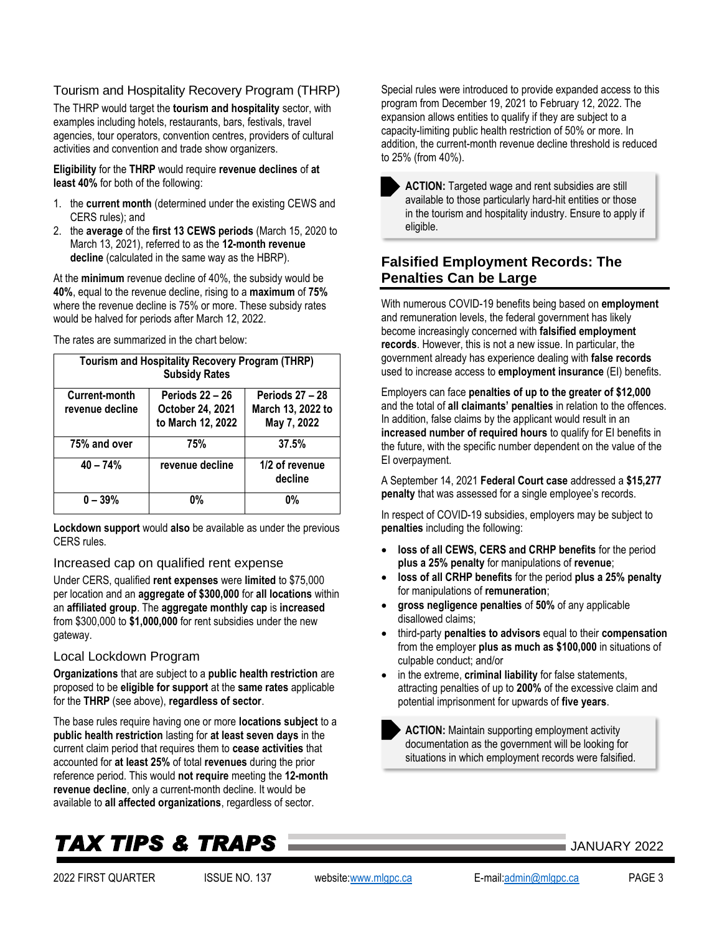#### Tourism and Hospitality Recovery Program (THRP)

The THRP would target the **tourism and hospitality** sector, with examples including hotels, restaurants, bars, festivals, travel agencies, tour operators, convention centres, providers of cultural activities and convention and trade show organizers.

**Eligibility** for the **THRP** would require **revenue declines** of **at least 40%** for both of the following:

- 1. the **current month** (determined under the existing CEWS and CERS rules); and
- 2. the **average** of the **first 13 CEWS periods** (March 15, 2020 to March 13, 2021), referred to as the **12-month revenue decline** (calculated in the same way as the HBRP).

At the **minimum** revenue decline of 40%, the subsidy would be **40%**, equal to the revenue decline, rising to a **maximum** of **75%** where the revenue decline is 75% or more. These subsidy rates would be halved for periods after March 12, 2022.

The rates are summarized in the chart below:

| <b>Tourism and Hospitality Recovery Program (THRP)</b><br><b>Subsidy Rates</b> |                                                                 |                                                            |  |
|--------------------------------------------------------------------------------|-----------------------------------------------------------------|------------------------------------------------------------|--|
| Current-month<br>revenue decline                                               | <b>Periods 22 - 26</b><br>October 24, 2021<br>to March 12, 2022 | <b>Periods 27 - 28</b><br>March 13, 2022 to<br>May 7, 2022 |  |
| 75% and over                                                                   | 75%                                                             | 37.5%                                                      |  |
| $40 - 74%$                                                                     | revenue decline                                                 | 1/2 of revenue<br>decline                                  |  |
| $0 - 39%$                                                                      | 0%                                                              | 0%                                                         |  |

**Lockdown support** would **also** be available as under the previous CERS rules.

#### Increased cap on qualified rent expense

Under CERS, qualified **rent expenses** were **limited** to \$75,000 per location and an **aggregate of \$300,000** for **all locations** within an **affiliated group**. The **aggregate monthly cap** is **increased** from \$300,000 to **\$1,000,000** for rent subsidies under the new gateway.

#### Local Lockdown Program

**Organizations** that are subject to a **public health restriction** are proposed to be **eligible for support** at the **same rates** applicable for the **THRP** (see above), **regardless of sector**.

The base rules require having one or more **locations subject** to a **public health restriction** lasting for **at least seven days** in the current claim period that requires them to **cease activities** that accounted for **at least 25%** of total **revenues** during the prior reference period. This would **not require** meeting the **12-month revenue decline**, only a current-month decline. It would be available to **all affected organizations**, regardless of sector.

# *TAX TIPS & TRAPS* JANUARY <sup>2022</sup>

Special rules were introduced to provide expanded access to this program from December 19, 2021 to February 12, 2022. The expansion allows entities to qualify if they are subject to a capacity-limiting public health restriction of 50% or more. In addition, the current-month revenue decline threshold is reduced to 25% (from 40%).

**ACTION:** Targeted wage and rent subsidies are still available to those particularly hard-hit entities or those in the tourism and hospitality industry. Ensure to apply if eligible.

### <span id="page-2-0"></span>**Falsified Employment Records: The Penalties Can be Large**

With numerous COVID-19 benefits being based on **employment** and remuneration levels, the federal government has likely become increasingly concerned with **falsified employment records**. However, this is not a new issue. In particular, the government already has experience dealing with **false records** used to increase access to **employment insurance** (EI) benefits.

Employers can face **penalties of up to the greater of \$12,000** and the total of **all claimants' penalties** in relation to the offences. In addition, false claims by the applicant would result in an **increased number of required hours** to qualify for EI benefits in the future, with the specific number dependent on the value of the EI overpayment.

A September 14, 2021 **Federal Court case** addressed a **\$15,277 penalty** that was assessed for a single employee's records.

In respect of COVID-19 subsidies, employers may be subject to **penalties** including the following:

- **loss of all CEWS, CERS and CRHP benefits** for the period **plus a 25% penalty** for manipulations of **revenue**;
- **loss of all CRHP benefits** for the period **plus a 25% penalty** for manipulations of **remuneration**;
- **gross negligence penalties** of **50%** of any applicable disallowed claims;
- third-party **penalties to advisors** equal to their **compensation** from the employer **plus as much as \$100,000** in situations of culpable conduct; and/or
- in the extreme, **criminal liability** for false statements, attracting penalties of up to **200%** of the excessive claim and potential imprisonment for upwards of **five years**.

**ACTION:** Maintain supporting employment activity documentation as the government will be looking for situations in which employment records were falsified.

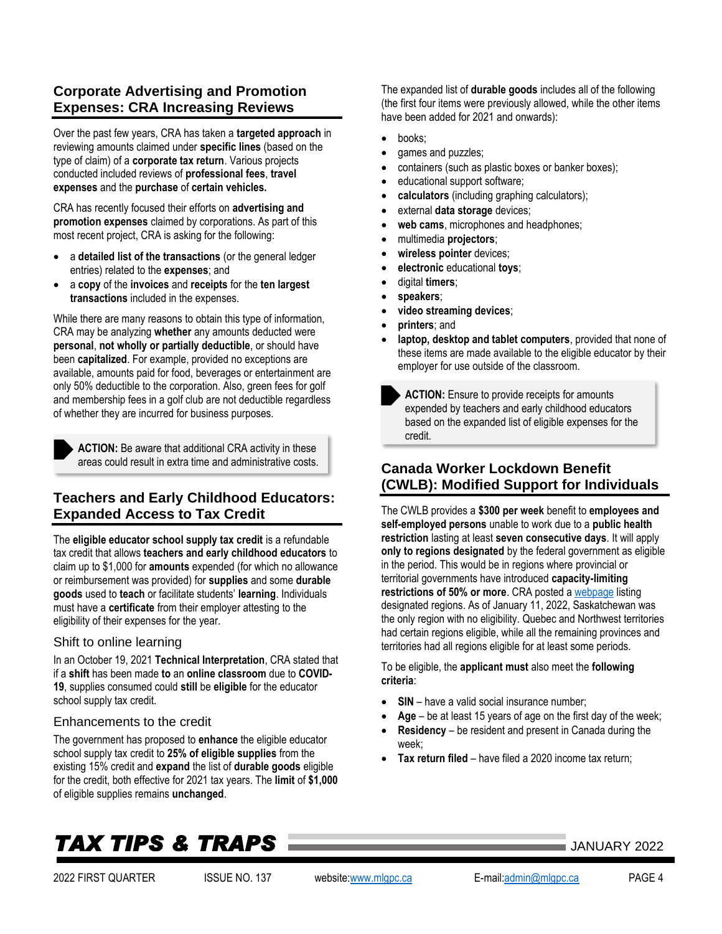### <span id="page-3-0"></span>**Corporate Advertising and Promotion Expenses: CRA Increasing Reviews**

Over the past few years, CRA has taken a **targeted approach** in reviewing amounts claimed under **specific lines** (based on the type of claim) of a **corporate tax return**. Various projects conducted included reviews of **professional fees**, **travel expenses** and the **purchase** of **certain vehicles.**

CRA has recently focused their efforts on **advertising and promotion expenses** claimed by corporations. As part of this most recent project, CRA is asking for the following:

- a **detailed list of the transactions** (or the general ledger entries) related to the **expenses**; and
- a **copy** of the **invoices** and **receipts** for the **ten largest transactions** included in the expenses.

While there are many reasons to obtain this type of information, CRA may be analyzing **whether** any amounts deducted were **personal**, **not wholly or partially deductible**, or should have been **capitalized**. For example, provided no exceptions are available, amounts paid for food, beverages or entertainment are only 50% deductible to the corporation. Also, green fees for golf and membership fees in a golf club are not deductible regardless of whether they are incurred for business purposes.



**ACTION:** Be aware that additional CRA activity in these areas could result in extra time and administrative costs.

## <span id="page-3-1"></span>**Teachers and Early Childhood Educators: Expanded Access to Tax Credit**

The **eligible educator school supply tax credit** is a refundable tax credit that allows **teachers and early childhood educators** to claim up to \$1,000 for **amounts** expended (for which no allowance or reimbursement was provided) for **supplies** and some **durable goods** used to **teach** or facilitate students' **learning**. Individuals must have a **certificate** from their employer attesting to the eligibility of their expenses for the year.

#### Shift to online learning

In an October 19, 2021 **Technical Interpretation**, CRA stated that if a **shift** has been made **to** an **online classroom** due to **COVID-19**, supplies consumed could **still** be **eligible** for the educator school supply tax credit.

#### Enhancements to the credit

The government has proposed to **enhance** the eligible educator school supply tax credit to **25% of eligible supplies** from the existing 15% credit and **expand** the list of **durable goods** eligible for the credit, both effective for 2021 tax years. The **limit** of **\$1,000** of eligible supplies remains **unchanged**.

The expanded list of **durable goods** includes all of the following (the first four items were previously allowed, while the other items have been added for 2021 and onwards):

- books:
- games and puzzles;
- containers (such as plastic boxes or banker boxes);
- educational support software;
- **calculators** (including graphing calculators);
- external **data storage** devices;
- web cams, microphones and headphones;
- multimedia **projectors**;
- **wireless pointer** devices;
- **electronic** educational **toys**;
- digital **timers**;
- **speakers**;
- **video streaming devices**;
- **printers**; and
- **laptop, desktop and tablet computers**, provided that none of these items are made available to the eligible educator by their employer for use outside of the classroom.

**ACTION:** Ensure to provide receipts for amounts expended by teachers and early childhood educators based on the expanded list of eligible expenses for the credit.

### <span id="page-3-2"></span>**Canada Worker Lockdown Benefit (CWLB): Modified Support for Individuals**

The CWLB provides a **\$300 per week** benefit to **employees and self-employed persons** unable to work due to a **public health restriction** lasting at least **seven consecutive days**. It will apply **only to regions designated** by the federal government as eligible in the period. This would be in regions where provincial or territorial governments have introduced **capacity-limiting restrictions of 50% or more**. CRA posted [a webpage](https://www.canada.ca/en/revenue-agency/services/benefits/worker-lockdown-benefit/cwlb-regional-lockdowns.html) listing designated regions. As of January 11, 2022, Saskatchewan was the only region with no eligibility. Quebec and Northwest territories had certain regions eligible, while all the remaining provinces and territories had all regions eligible for at least some periods.

To be eligible, the **applicant must** also meet the **following criteria**:

- **SIN** have a valid social insurance number;
- Age be at least 15 years of age on the first day of the week:
- **Residency** be resident and present in Canada during the week;
- **Tax return filed** have filed a 2020 income tax return;

# *TAX TIPS & TRAPS* JANUARY <sup>2022</sup>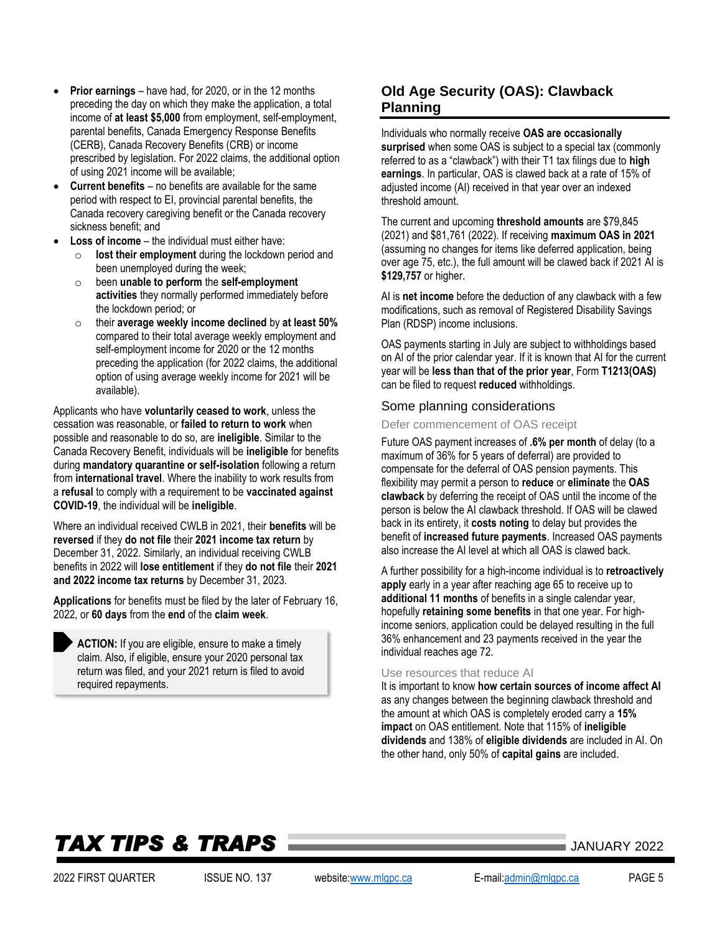- **Prior earnings** have had, for 2020, or in the 12 months preceding the day on which they make the application, a total income of **at least \$5,000** from employment, self-employment, parental benefits, Canada Emergency Response Benefits (CERB), Canada Recovery Benefits (CRB) or income prescribed by legislation. For 2022 claims, the additional option of using 2021 income will be available;
- **Current benefits** no benefits are available for the same period with respect to EI, provincial parental benefits, the Canada recovery caregiving benefit or the Canada recovery sickness benefit; and
- **Loss of income** the individual must either have:
	- o **lost their employment** during the lockdown period and been unemployed during the week;
	- o been **unable to perform** the **self-employment activities** they normally performed immediately before the lockdown period; or
	- o their **average weekly income declined** by **at least 50%** compared to their total average weekly employment and self-employment income for 2020 or the 12 months preceding the application (for 2022 claims, the additional option of using average weekly income for 2021 will be available).

Applicants who have **voluntarily ceased to work**, unless the cessation was reasonable, or **failed to return to work** when possible and reasonable to do so, are **ineligible**. Similar to the Canada Recovery Benefit, individuals will be **ineligible** for benefits during **mandatory quarantine or self-isolation** following a return from **international travel**. Where the inability to work results from a **refusal** to comply with a requirement to be **vaccinated against COVID-19**, the individual will be **ineligible**.

Where an individual received CWLB in 2021, their **benefits** will be **reversed** if they **do not file** their **2021 income tax return** by December 31, 2022. Similarly, an individual receiving CWLB benefits in 2022 will **lose entitlement** if they **do not file** their **2021 and 2022 income tax returns** by December 31, 2023.

**Applications** for benefits must be filed by the later of February 16, 2022, or **60 days** from the **end** of the **claim week**.

**ACTION:** If you are eligible, ensure to make a timely claim. Also, if eligible, ensure your 2020 personal tax return was filed, and your 2021 return is filed to avoid required repayments.

## <span id="page-4-0"></span>**Old Age Security (OAS): Clawback Planning**

Individuals who normally receive **OAS are occasionally surprised** when some OAS is subject to a special tax (commonly referred to as a "clawback") with their T1 tax filings due to **high earnings**. In particular, OAS is clawed back at a rate of 15% of adjusted income (AI) received in that year over an indexed threshold amount.

The current and upcoming **threshold amounts** are \$79,845 (2021) and \$81,761 (2022). If receiving **maximum OAS in 2021**  (assuming no changes for items like deferred application, being over age 75, etc.), the full amount will be clawed back if 2021 AI is **\$129,757** or higher.

AI is **net income** before the deduction of any clawback with a few modifications, such as removal of Registered Disability Savings Plan (RDSP) income inclusions.

OAS payments starting in July are subject to withholdings based on AI of the prior calendar year. If it is known that AI for the current year will be **less than that of the prior year**, Form **T1213(OAS)** can be filed to request **reduced** withholdings.

#### Some planning considerations

Defer commencement of OAS receipt

Future OAS payment increases of **.6% per month** of delay (to a maximum of 36% for 5 years of deferral) are provided to compensate for the deferral of OAS pension payments. This flexibility may permit a person to **reduce** or **eliminate** the **OAS clawback** by deferring the receipt of OAS until the income of the person is below the AI clawback threshold. If OAS will be clawed back in its entirety, it **costs noting** to delay but provides the benefit of **increased future payments**. Increased OAS payments also increase the AI level at which all OAS is clawed back.

A further possibility for a high-income individual is to **retroactively apply** early in a year after reaching age 65 to receive up to **additional 11 months** of benefits in a single calendar year, hopefully **retaining some benefits** in that one year. For highincome seniors, application could be delayed resulting in the full 36% enhancement and 23 payments received in the year the individual reaches age 72.

#### Use resources that reduce AI

It is important to know **how certain sources of income affect AI** as any changes between the beginning clawback threshold and the amount at which OAS is completely eroded carry a **15% impact** on OAS entitlement. Note that 115% of **ineligible dividends** and 138% of **eligible dividends** are included in AI. On the other hand, only 50% of **capital gains** are included.

# *TAX TIPS & TRAPS* JANUARY <sup>2022</sup>